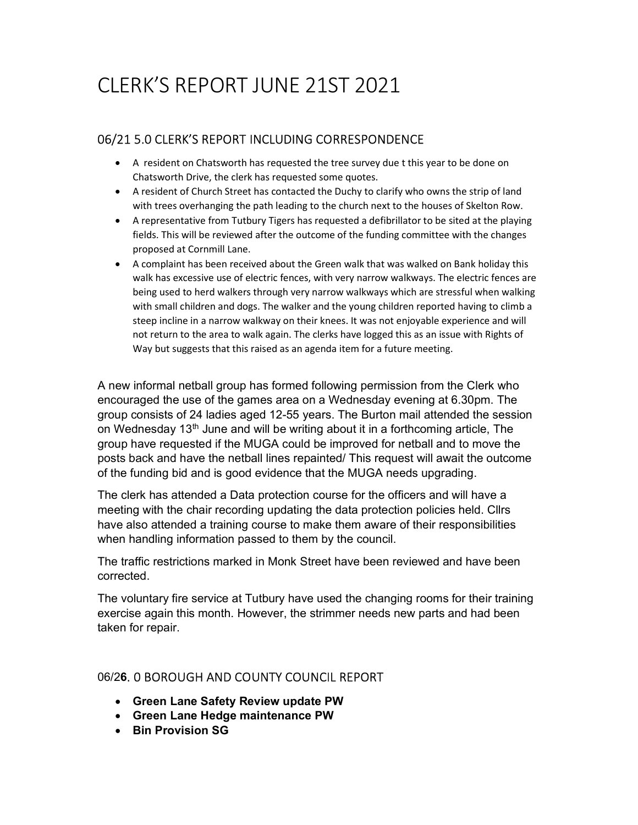# CLERK'S REPORT JUNE 21ST 2021

## 06/21 5.0 CLERK'S REPORT INCLUDING CORRESPONDENCE

- A resident on Chatsworth has requested the tree survey due t this year to be done on Chatsworth Drive, the clerk has requested some quotes.
- A resident of Church Street has contacted the Duchy to clarify who owns the strip of land with trees overhanging the path leading to the church next to the houses of Skelton Row.
- A representative from Tutbury Tigers has requested a defibrillator to be sited at the playing fields. This will be reviewed after the outcome of the funding committee with the changes proposed at Cornmill Lane.
- A complaint has been received about the Green walk that was walked on Bank holiday this walk has excessive use of electric fences, with very narrow walkways. The electric fences are being used to herd walkers through very narrow walkways which are stressful when walking with small children and dogs. The walker and the young children reported having to climb a steep incline in a narrow walkway on their knees. It was not enjoyable experience and will not return to the area to walk again. The clerks have logged this as an issue with Rights of Way but suggests that this raised as an agenda item for a future meeting.

A new informal netball group has formed following permission from the Clerk who encouraged the use of the games area on a Wednesday evening at 6.30pm. The group consists of 24 ladies aged 12-55 years. The Burton mail attended the session on Wednesday 13<sup>th</sup> June and will be writing about it in a forthcoming article, The group have requested if the MUGA could be improved for netball and to move the posts back and have the netball lines repainted/ This request will await the outcome of the funding bid and is good evidence that the MUGA needs upgrading.

The clerk has attended a Data protection course for the officers and will have a meeting with the chair recording updating the data protection policies held. Cllrs have also attended a training course to make them aware of their responsibilities when handling information passed to them by the council.

The traffic restrictions marked in Monk Street have been reviewed and have been corrected.

The voluntary fire service at Tutbury have used the changing rooms for their training exercise again this month. However, the strimmer needs new parts and had been taken for repair.

## 06/26. 0 BOROUGH AND COUNTY COUNCIL REPORT

- Green Lane Safety Review update PW
- Green Lane Hedge maintenance PW
- Bin Provision SG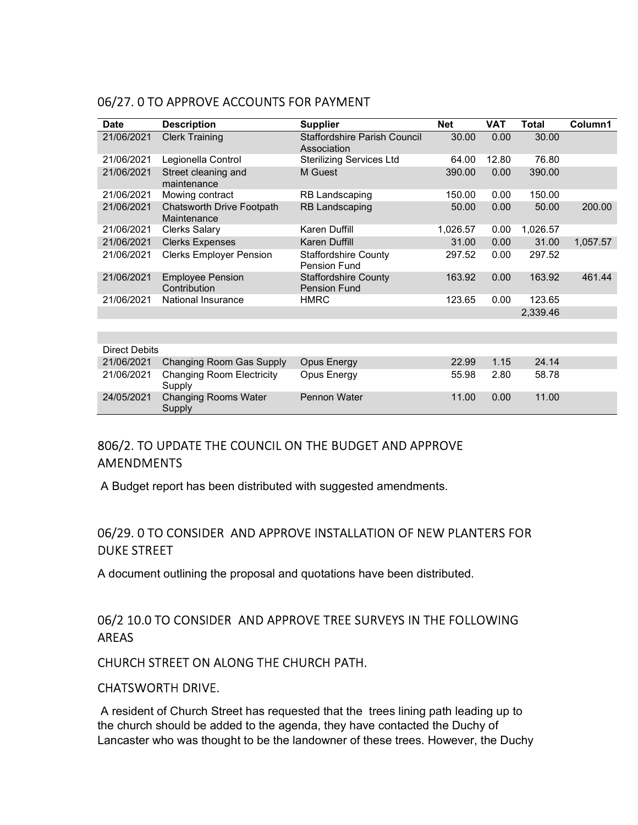| <b>Date</b>          | <b>Description</b>                         | <b>Supplier</b>                                    | <b>Net</b> | <b>VAT</b> | <b>Total</b> | Column1  |
|----------------------|--------------------------------------------|----------------------------------------------------|------------|------------|--------------|----------|
| 21/06/2021           | <b>Clerk Training</b>                      | <b>Staffordshire Parish Council</b><br>Association | 30.00      | 0.00       | 30.00        |          |
| 21/06/2021           | Legionella Control                         | <b>Sterilizing Services Ltd</b>                    | 64.00      | 12.80      | 76.80        |          |
| 21/06/2021           | Street cleaning and<br>maintenance         | M Guest                                            | 390.00     | 0.00       | 390.00       |          |
| 21/06/2021           | Mowing contract                            | <b>RB Landscaping</b>                              | 150.00     | 0.00       | 150.00       |          |
| 21/06/2021           | Chatsworth Drive Footpath<br>Maintenance   | <b>RB Landscaping</b>                              | 50.00      | 0.00       | 50.00        | 200.00   |
| 21/06/2021           | <b>Clerks Salary</b>                       | <b>Karen Duffill</b>                               | 1,026.57   | 0.00       | 1,026.57     |          |
| 21/06/2021           | <b>Clerks Expenses</b>                     | Karen Duffill                                      | 31.00      | 0.00       | 31.00        | 1,057.57 |
| 21/06/2021           | <b>Clerks Employer Pension</b>             | <b>Staffordshire County</b><br><b>Pension Fund</b> | 297.52     | 0.00       | 297.52       |          |
| 21/06/2021           | <b>Employee Pension</b><br>Contribution    | <b>Staffordshire County</b><br><b>Pension Fund</b> | 163.92     | 0.00       | 163.92       | 461.44   |
| 21/06/2021           | National Insurance                         | <b>HMRC</b>                                        | 123.65     | 0.00       | 123.65       |          |
|                      |                                            |                                                    |            |            | 2,339.46     |          |
|                      |                                            |                                                    |            |            |              |          |
|                      |                                            |                                                    |            |            |              |          |
| <b>Direct Debits</b> |                                            |                                                    |            |            |              |          |
| 21/06/2021           | Changing Room Gas Supply                   | Opus Energy                                        | 22.99      | 1.15       | 24.14        |          |
| 21/06/2021           | <b>Changing Room Electricity</b><br>Supply | Opus Energy                                        | 55.98      | 2.80       | 58.78        |          |
| 24/05/2021           | <b>Changing Rooms Water</b><br>Supply      | <b>Pennon Water</b>                                | 11.00      | 0.00       | 11.00        |          |

## 06/27. 0 TO APPROVE ACCOUNTS FOR PAYMENT

# 806/2. TO UPDATE THE COUNCIL ON THE BUDGET AND APPROVE AMENDMENTS

A Budget report has been distributed with suggested amendments.

# 06/29. 0 TO CONSIDER AND APPROVE INSTALLATION OF NEW PLANTERS FOR DUKE STREET

A document outlining the proposal and quotations have been distributed.

# 06/2 10.0 TO CONSIDER AND APPROVE TREE SURVEYS IN THE FOLLOWING AREAS

## CHURCH STREET ON ALONG THE CHURCH PATH.

## CHATSWORTH DRIVE.

 A resident of Church Street has requested that the trees lining path leading up to the church should be added to the agenda, they have contacted the Duchy of Lancaster who was thought to be the landowner of these trees. However, the Duchy